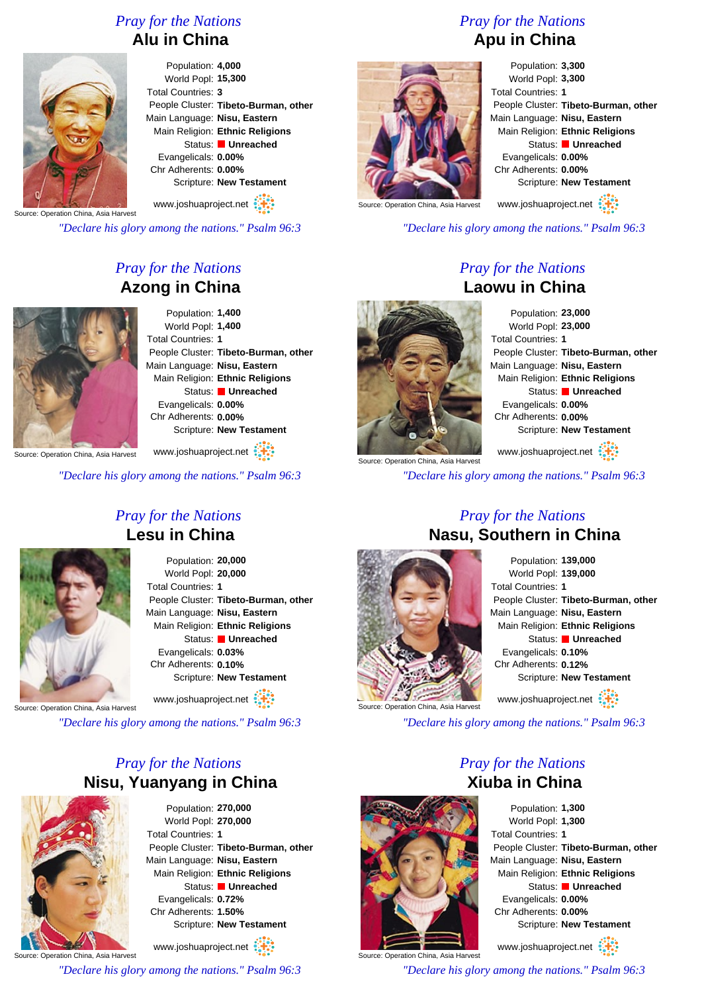## *Pray for the Nations* **Alu in China**

Population: **4,000** World Popl: **15,300** Total Countries: **3** People Cluster: **Tibeto-Burman, other** Main Language: **Nisu, Eastern** Main Religion: **Ethnic Religions** Status: **Unreached** Evangelicals: **0.00%** Chr Adherents: **0.00%** Scripture: **New Testament**

Source: Operation China, Asia Harvest www.joshuaproject.net

*"Declare his glory among the nations." Psalm 96:3*

## *Pray for the Nations* **Azong in China**



Population: **1,400** World Popl: **1,400** Total Countries: **1** People Cluster: **Tibeto-Burman, other** Main Language: **Nisu, Eastern** Main Religion: **Ethnic Religions** Status: **Unreached** Evangelicals: **0.00%** Chr Adherents: **0.00%** Scripture: **New Testament**

Source: Operation China, Asia Harvest www.joshuaproject.net

*"Declare his glory among the nations." Psalm 96:3*



## *Pray for the Nations* **Lesu in China**

Population: **20,000** World Popl: **20,000** Total Countries: **1** People Cluster: **Tibeto-Burman, other** Main Language: **Nisu, Eastern** Main Religion: **Ethnic Religions** Status: **Unreached** Evangelicals: **0.03%** Chr Adherents: **0.10%** Scripture: **New Testament**

www.joshuaproject.net

Source: Operation China, Asia Harvest

*"Declare his glory among the nations." Psalm 96:3*

## *Pray for the Nations* **Nisu, Yuanyang in China**



Source: Operation China, Asia Harvest

Population: **270,000** World Popl: **270,000** Total Countries: **1** People Cluster: **Tibeto-Burman, other** Main Language: **Nisu, Eastern** Main Religion: **Ethnic Religions** Status: **Unreached** Evangelicals: **0.72%** Chr Adherents: **1.50%** Scripture: **New Testament**

www.joshuaproject.net

*"Declare his glory among the nations." Psalm 96:3*

## *Pray for the Nations* **Apu in China**



Population: **3,300** World Popl: **3,300** Total Countries: **1** People Cluster: **Tibeto-Burman, other** Main Language: **Nisu, Eastern** Main Religion: **Ethnic Religions** Status: **Unreached** Evangelicals: **0.00%** Chr Adherents: **0.00%** Scripture: **New Testament**

www.joshuaproject.net

Source: Operation China, Asia Harvest

*"Declare his glory among the nations." Psalm 96:3*

*Pray for the Nations*

## **Laowu in China**

Population: **23,000** World Popl: **23,000** Total Countries: **1** People Cluster: **Tibeto-Burman, other** Main Language: **Nisu, Eastern** Main Religion: **Ethnic Religions** Status: **Unreached** Evangelicals: **0.00%** Chr Adherents: **0.00%** Scripture: **New Testament**

**Source: Operation China, Asia Harvest** www.joshuaproject.net

*"Declare his glory among the nations." Psalm 96:3*

*Pray for the Nations*

# **Nasu, Southern in China**

Source: Operation

### Population: **139,000** World Popl: **139,000** Total Countries: **1** People Cluster: **Tibeto-Burman, other** Main Language: **Nisu, Eastern** Main Religion: **Ethnic Religions** Status: **Unreached** Evangelicals: **0.10%** Chr Adherents: **0.12%** Scripture: **New Testament** www.joshuaproject.net

*"Declare his glory among the nations." Psalm 96:3*

*Pray for the Nations*



Source: Operation China, Asia Harvest

Population: **1,300** World Popl: **1,300** Total Countries: **1** People Cluster: **Tibeto-Burman, other** Main Language: **Nisu, Eastern** Main Religion: **Ethnic Religions** Status: **Unreached** Evangelicals: **0.00%** Chr Adherents: **0.00%** Scripture: **New Testament**

www.joshuaproject.net

*"Declare his glory among the nations." Psalm 96:3*